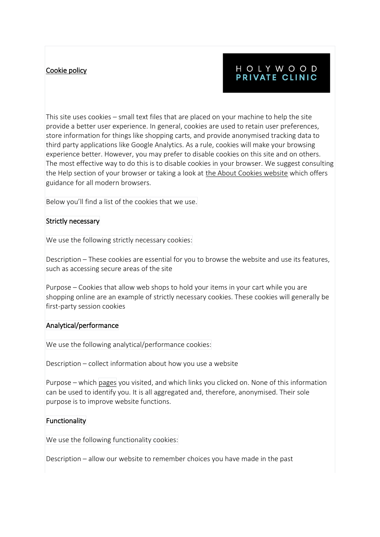## Cookie policy

# HOLYWOOD PRIVATE CLINIC

This site uses cookies – small text files that are placed on your machine to help the site provide a better user experience. In general, cookies are used to retain user preferences, store information for things like shopping carts, and provide anonymised tracking data to third party applications like Google Analytics. As a rule, cookies will make your browsing experience better. However, you may prefer to disable cookies on this site and on others. The most effective way to do this is to disable cookies in your browser. We suggest consulting the Help section of your browser or taking a look at the About Cookies [website](http://www.aboutcookies.org/) which offers guidance for all modern browsers.

Below you'll find a list of the cookies that we use.

#### Strictly necessary

We use the following strictly necessary cookies:

Description – These cookies are essential for you to browse the website and use its features, such as accessing secure areas of the site

Purpose – Cookies that allow web shops to hold your items in your cart while you are shopping online are an example of strictly necessary cookies. These cookies will generally be first-party session cookies

#### Analytical/performance

We use the following analytical/performance cookies:

Description – collect information about how you use a website

Purpose – which [pages](https://www.gpdq.co.uk/sitemap/) you visited, and which links you clicked on. None of this information can be used to identify you. It is all aggregated and, therefore, anonymised. Their sole purpose is to improve website functions.

### Functionality

We use the following functionality cookies:

Description – allow our website to remember choices you have made in the past